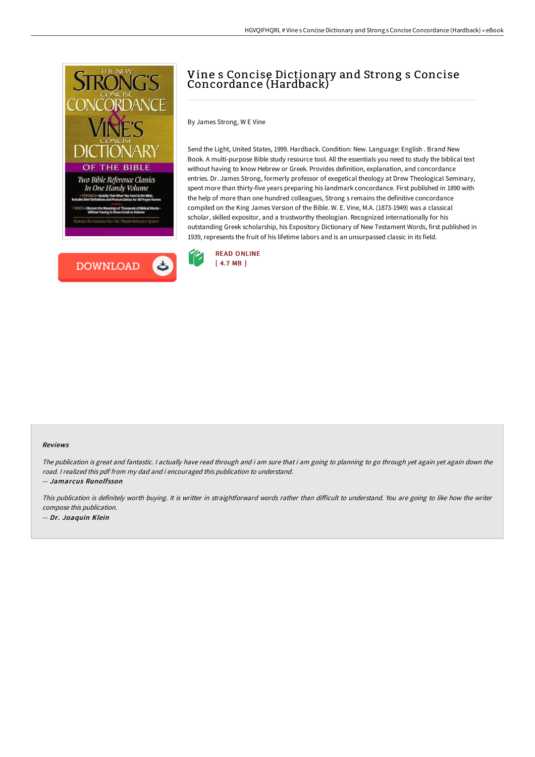



# Vine s Concise Dictionary and Strong s Concise Concordance (Hardback)

By James Strong, W E Vine

Send the Light, United States, 1999. Hardback. Condition: New. Language: English . Brand New Book. A multi-purpose Bible study resource tool. All the essentials you need to study the biblical text without having to know Hebrew or Greek. Provides definition, explanation, and concordance entries. Dr. James Strong, formerly professor of exegetical theology at Drew Theological Seminary, spent more than thirty-five years preparing his landmark concordance. First published in 1890 with the help of more than one hundred colleagues, Strong s remains the definitive concordance compiled on the King James Version of the Bible. W. E. Vine, M.A. (1873-1949) was a classical scholar, skilled expositor, and a trustworthy theologian. Recognized internationally for his outstanding Greek scholarship, his Expository Dictionary of New Testament Words, first published in 1939, represents the fruit of his lifetime labors and is an unsurpassed classic in its field.



#### Reviews

The publication is great and fantastic. I actually have read through and i am sure that i am going to planning to go through yet again yet again down the road. <sup>I</sup> realized this pdf from my dad and i encouraged this publication to understand. -- Jamarcus Runolfsson

This publication is definitely worth buying. It is writter in straightforward words rather than difficult to understand. You are going to like how the writer compose this publication. -- Dr. Joaquin Klein